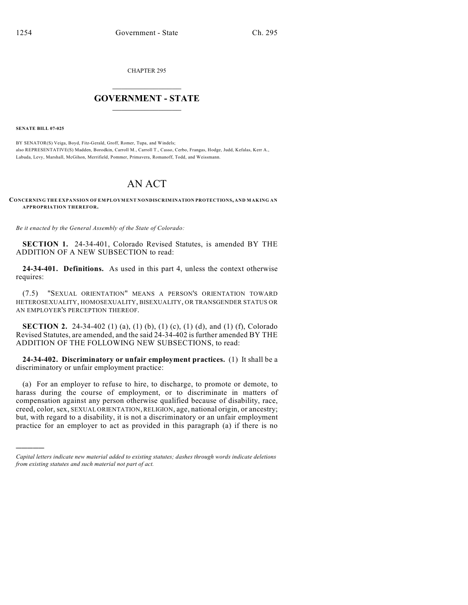CHAPTER 295

## $\overline{\phantom{a}}$  . The set of the set of the set of the set of the set of the set of the set of the set of the set of the set of the set of the set of the set of the set of the set of the set of the set of the set of the set o **GOVERNMENT - STATE**  $\_$

**SENATE BILL 07-025**

)))))

BY SENATOR(S) Veiga, Boyd, Fitz-Gerald, Groff, Romer, Tupa, and Windels; also REPRESENTATIVE(S) Madden, Borodkin, Carroll M., Carroll T., Casso, Cerbo, Frangas, Hodge, Judd, Kefalas, Kerr A., Labuda, Levy, Marshall, McGihon, Merrifield, Pommer, Primavera, Romanoff, Todd, and Weissmann.

## AN ACT

**CONCERNING THE EXPANSION OF EMPLOYMENT NONDISCRIMINATION PROTECTIONS, AND MAKING AN APPROPRIATION THEREFOR.**

*Be it enacted by the General Assembly of the State of Colorado:*

**SECTION 1.** 24-34-401, Colorado Revised Statutes, is amended BY THE ADDITION OF A NEW SUBSECTION to read:

**24-34-401. Definitions.** As used in this part 4, unless the context otherwise requires:

(7.5) "SEXUAL ORIENTATION" MEANS A PERSON'S ORIENTATION TOWARD HETEROSEXUALITY, HOMOSEXUALITY, BISEXUALITY, OR TRANSGENDER STATUS OR AN EMPLOYER'S PERCEPTION THEREOF.

**SECTION 2.** 24-34-402 (1) (a), (1) (b), (1) (c), (1) (d), and (1) (f), Colorado Revised Statutes, are amended, and the said 24-34-402 is further amended BY THE ADDITION OF THE FOLLOWING NEW SUBSECTIONS, to read:

**24-34-402. Discriminatory or unfair employment practices.** (1) It shall be a discriminatory or unfair employment practice:

(a) For an employer to refuse to hire, to discharge, to promote or demote, to harass during the course of employment, or to discriminate in matters of compensation against any person otherwise qualified because of disability, race, creed, color, sex, SEXUAL ORIENTATION, RELIGION, age, national origin, or ancestry; but, with regard to a disability, it is not a discriminatory or an unfair employment practice for an employer to act as provided in this paragraph (a) if there is no

*Capital letters indicate new material added to existing statutes; dashes through words indicate deletions from existing statutes and such material not part of act.*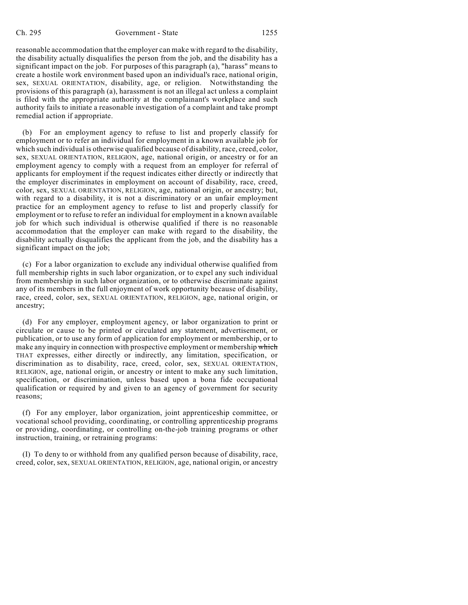reasonable accommodation that the employer can make with regard to the disability, the disability actually disqualifies the person from the job, and the disability has a significant impact on the job. For purposes of this paragraph (a), "harass" means to create a hostile work environment based upon an individual's race, national origin, sex, SEXUAL ORIENTATION, disability, age, or religion. Notwithstanding the provisions of this paragraph (a), harassment is not an illegal act unless a complaint is filed with the appropriate authority at the complainant's workplace and such authority fails to initiate a reasonable investigation of a complaint and take prompt remedial action if appropriate.

(b) For an employment agency to refuse to list and properly classify for employment or to refer an individual for employment in a known available job for which such individual is otherwise qualified because of disability, race, creed, color, sex, SEXUAL ORIENTATION, RELIGION, age, national origin, or ancestry or for an employment agency to comply with a request from an employer for referral of applicants for employment if the request indicates either directly or indirectly that the employer discriminates in employment on account of disability, race, creed, color, sex, SEXUAL ORIENTATION, RELIGION, age, national origin, or ancestry; but, with regard to a disability, it is not a discriminatory or an unfair employment practice for an employment agency to refuse to list and properly classify for employment or to refuse to refer an individual for employment in a known available job for which such individual is otherwise qualified if there is no reasonable accommodation that the employer can make with regard to the disability, the disability actually disqualifies the applicant from the job, and the disability has a significant impact on the job;

(c) For a labor organization to exclude any individual otherwise qualified from full membership rights in such labor organization, or to expel any such individual from membership in such labor organization, or to otherwise discriminate against any of its members in the full enjoyment of work opportunity because of disability, race, creed, color, sex, SEXUAL ORIENTATION, RELIGION, age, national origin, or ancestry;

(d) For any employer, employment agency, or labor organization to print or circulate or cause to be printed or circulated any statement, advertisement, or publication, or to use any form of application for employment or membership, or to make any inquiry in connection with prospective employment or membership which THAT expresses, either directly or indirectly, any limitation, specification, or discrimination as to disability, race, creed, color, sex, SEXUAL ORIENTATION, RELIGION, age, national origin, or ancestry or intent to make any such limitation, specification, or discrimination, unless based upon a bona fide occupational qualification or required by and given to an agency of government for security reasons;

(f) For any employer, labor organization, joint apprenticeship committee, or vocational school providing, coordinating, or controlling apprenticeship programs or providing, coordinating, or controlling on-the-job training programs or other instruction, training, or retraining programs:

(I) To deny to or withhold from any qualified person because of disability, race, creed, color, sex, SEXUAL ORIENTATION, RELIGION, age, national origin, or ancestry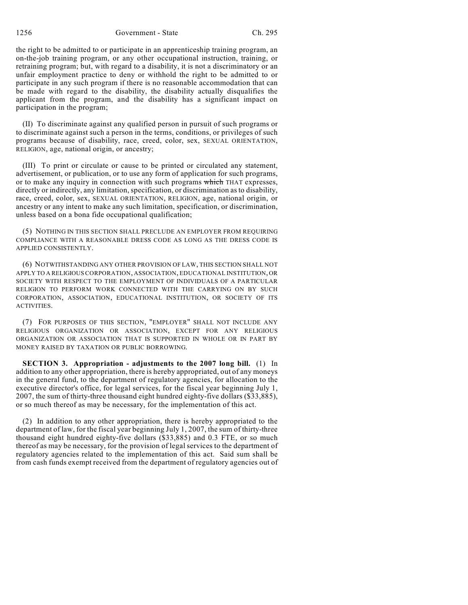1256 Government - State Ch. 295

the right to be admitted to or participate in an apprenticeship training program, an on-the-job training program, or any other occupational instruction, training, or retraining program; but, with regard to a disability, it is not a discriminatory or an unfair employment practice to deny or withhold the right to be admitted to or participate in any such program if there is no reasonable accommodation that can be made with regard to the disability, the disability actually disqualifies the applicant from the program, and the disability has a significant impact on participation in the program;

(II) To discriminate against any qualified person in pursuit of such programs or to discriminate against such a person in the terms, conditions, or privileges of such programs because of disability, race, creed, color, sex, SEXUAL ORIENTATION, RELIGION, age, national origin, or ancestry;

(III) To print or circulate or cause to be printed or circulated any statement, advertisement, or publication, or to use any form of application for such programs, or to make any inquiry in connection with such programs which THAT expresses, directly or indirectly, any limitation, specification, or discrimination asto disability, race, creed, color, sex, SEXUAL ORIENTATION, RELIGION, age, national origin, or ancestry or any intent to make any such limitation, specification, or discrimination, unless based on a bona fide occupational qualification;

(5) NOTHING IN THIS SECTION SHALL PRECLUDE AN EMPLOYER FROM REQUIRING COMPLIANCE WITH A REASONABLE DRESS CODE AS LONG AS THE DRESS CODE IS APPLIED CONSISTENTLY.

(6) NOTWITHSTANDING ANY OTHER PROVISION OF LAW, THIS SECTION SHALL NOT APPLY TO A RELIGIOUS CORPORATION, ASSOCIATION, EDUCATIONAL INSTITUTION, OR SOCIETY WITH RESPECT TO THE EMPLOYMENT OF INDIVIDUALS OF A PARTICULAR RELIGION TO PERFORM WORK CONNECTED WITH THE CARRYING ON BY SUCH CORPORATION, ASSOCIATION, EDUCATIONAL INSTITUTION, OR SOCIETY OF ITS ACTIVITIES.

(7) FOR PURPOSES OF THIS SECTION, "EMPLOYER" SHALL NOT INCLUDE ANY RELIGIOUS ORGANIZATION OR ASSOCIATION, EXCEPT FOR ANY RELIGIOUS ORGANIZATION OR ASSOCIATION THAT IS SUPPORTED IN WHOLE OR IN PART BY MONEY RAISED BY TAXATION OR PUBLIC BORROWING.

**SECTION 3. Appropriation - adjustments to the 2007 long bill.** (1) In addition to any other appropriation, there is hereby appropriated, out of any moneys in the general fund, to the department of regulatory agencies, for allocation to the executive director's office, for legal services, for the fiscal year beginning July 1, 2007, the sum of thirty-three thousand eight hundred eighty-five dollars (\$33,885), or so much thereof as may be necessary, for the implementation of this act.

(2) In addition to any other appropriation, there is hereby appropriated to the department of law, for the fiscal year beginning July 1, 2007, the sum of thirty-three thousand eight hundred eighty-five dollars (\$33,885) and 0.3 FTE, or so much thereof as may be necessary, for the provision of legal services to the department of regulatory agencies related to the implementation of this act. Said sum shall be from cash funds exempt received from the department of regulatory agencies out of